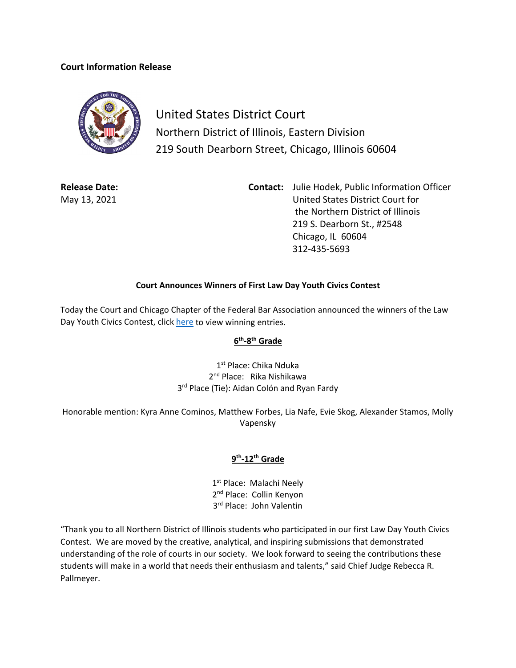## **Court Information Release**



United States District Court Northern District of Illinois, Eastern Division 219 South Dearborn Street, Chicago, Illinois 60604

**Release Date:** May 13, 2021

**Contact:** Julie Hodek, Public Information Officer United States District Court for the Northern District of Illinois 219 S. Dearborn St., #2548 Chicago, IL 60604 312-435-5693

## **Court Announces Winners of First Law Day Youth Civics Contest**

Today the Court and Chicago Chapter of the Federal Bar Association announced the winners of the Law Day Youth Civics Contest, click [here](https://www.ilnd.uscourts.gov/Pages.aspx?page=winners) to view winning entries.

## **6th-8th Grade**

1<sup>st</sup> Place: Chika Nduka 2<sup>nd</sup> Place: Rika Nishikawa 3<sup>rd</sup> Place (Tie): Aidan Colón and Ryan Fardy

Honorable mention: Kyra Anne Cominos, Matthew Forbes, Lia Nafe, Evie Skog, Alexander Stamos, Molly Vapensky

## **9th-12th Grade**

1st Place: Malachi Neely 2<sup>nd</sup> Place: Collin Kenyon 3<sup>rd</sup> Place: John Valentin

"Thank you to all Northern District of Illinois students who participated in our first Law Day Youth Civics Contest. We are moved by the creative, analytical, and inspiring submissions that demonstrated understanding of the role of courts in our society. We look forward to seeing the contributions these students will make in a world that needs their enthusiasm and talents," said Chief Judge Rebecca R. Pallmeyer.